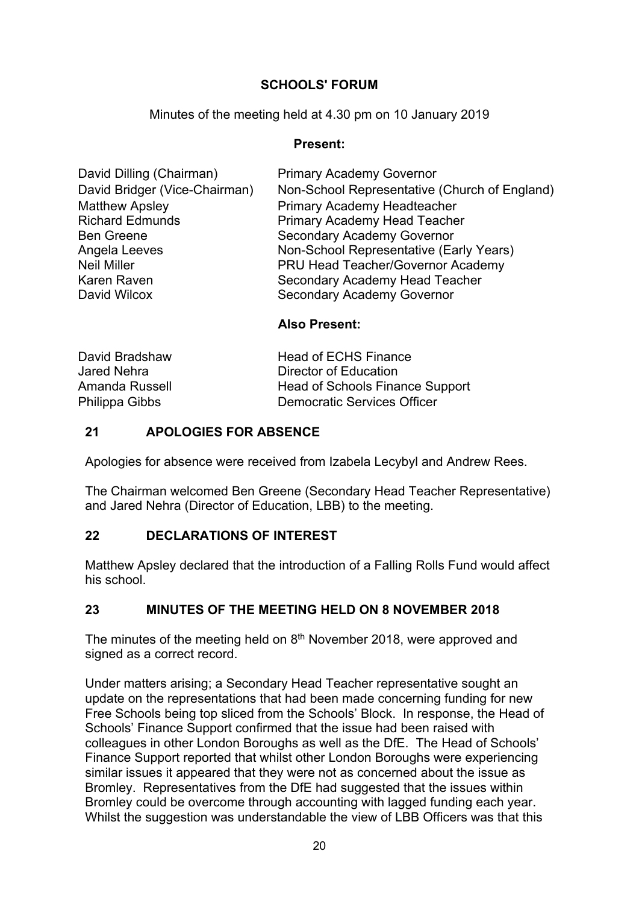# **SCHOOLS' FORUM**

Minutes of the meeting held at 4.30 pm on 10 January 2019

### **Present:**

| David Dilling (Chairman)      | <b>Primary Academy Governor</b>               |
|-------------------------------|-----------------------------------------------|
| David Bridger (Vice-Chairman) | Non-School Representative (Church of England) |
| <b>Matthew Apsley</b>         | <b>Primary Academy Headteacher</b>            |
| <b>Richard Edmunds</b>        | <b>Primary Academy Head Teacher</b>           |
| <b>Ben Greene</b>             | <b>Secondary Academy Governor</b>             |
| Angela Leeves                 | Non-School Representative (Early Years)       |
| <b>Neil Miller</b>            | PRU Head Teacher/Governor Academy             |
| Karen Raven                   | Secondary Academy Head Teacher                |
| David Wilcox                  | Secondary Academy Governor                    |
|                               |                                               |

# **Also Present:**

| David Bradshaw | <b>Head of ECHS Finance</b>     |
|----------------|---------------------------------|
| Jared Nehra    | Director of Education           |
| Amanda Russell | Head of Schools Finance Support |
| Philippa Gibbs | Democratic Services Officer     |

# **21 APOLOGIES FOR ABSENCE**

Apologies for absence were received from Izabela Lecybyl and Andrew Rees.

The Chairman welcomed Ben Greene (Secondary Head Teacher Representative) and Jared Nehra (Director of Education, LBB) to the meeting.

# **22 DECLARATIONS OF INTEREST**

Matthew Apsley declared that the introduction of a Falling Rolls Fund would affect his school.

# **23 MINUTES OF THE MEETING HELD ON 8 NOVEMBER 2018**

The minutes of the meeting held on 8<sup>th</sup> November 2018, were approved and signed as a correct record.

Under matters arising; a Secondary Head Teacher representative sought an update on the representations that had been made concerning funding for new Free Schools being top sliced from the Schools' Block. In response, the Head of Schools' Finance Support confirmed that the issue had been raised with colleagues in other London Boroughs as well as the DfE. The Head of Schools' Finance Support reported that whilst other London Boroughs were experiencing similar issues it appeared that they were not as concerned about the issue as Bromley. Representatives from the DfE had suggested that the issues within Bromley could be overcome through accounting with lagged funding each year. Whilst the suggestion was understandable the view of LBB Officers was that this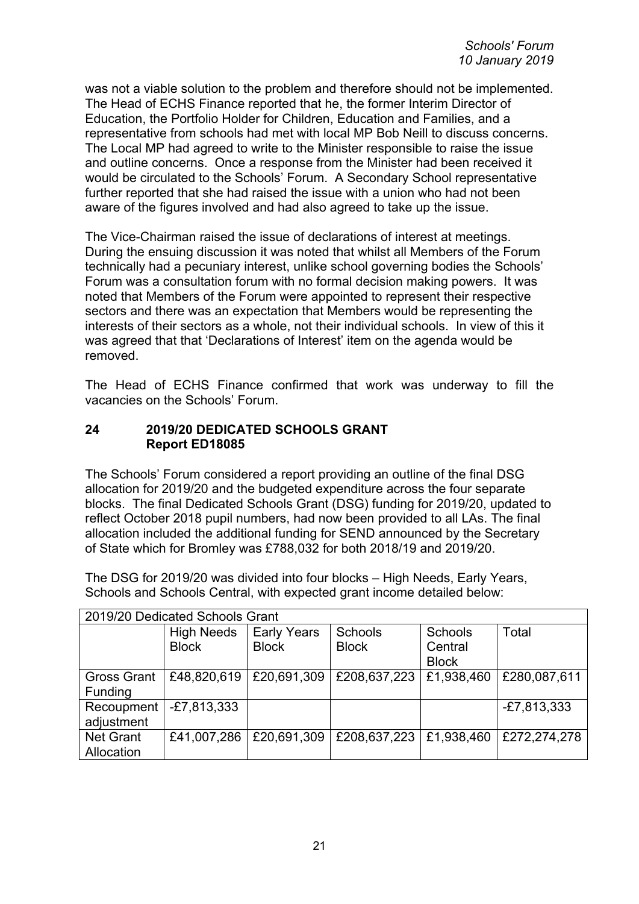was not a viable solution to the problem and therefore should not be implemented. The Head of ECHS Finance reported that he, the former Interim Director of Education, the Portfolio Holder for Children, Education and Families, and a representative from schools had met with local MP Bob Neill to discuss concerns. The Local MP had agreed to write to the Minister responsible to raise the issue and outline concerns. Once a response from the Minister had been received it would be circulated to the Schools' Forum. A Secondary School representative further reported that she had raised the issue with a union who had not been aware of the figures involved and had also agreed to take up the issue.

The Vice-Chairman raised the issue of declarations of interest at meetings. During the ensuing discussion it was noted that whilst all Members of the Forum technically had a pecuniary interest, unlike school governing bodies the Schools' Forum was a consultation forum with no formal decision making powers. It was noted that Members of the Forum were appointed to represent their respective sectors and there was an expectation that Members would be representing the interests of their sectors as a whole, not their individual schools. In view of this it was agreed that that 'Declarations of Interest' item on the agenda would be removed.

The Head of ECHS Finance confirmed that work was underway to fill the vacancies on the Schools' Forum.

### **24 2019/20 DEDICATED SCHOOLS GRANT Report ED18085**

The Schools' Forum considered a report providing an outline of the final DSG allocation for 2019/20 and the budgeted expenditure across the four separate blocks. The final Dedicated Schools Grant (DSG) funding for 2019/20, updated to reflect October 2018 pupil numbers, had now been provided to all LAs. The final allocation included the additional funding for SEND announced by the Secretary of State which for Bromley was £788,032 for both 2018/19 and 2019/20.

The DSG for 2019/20 was divided into four blocks – High Needs, Early Years, Schools and Schools Central, with expected grant income detailed below:

| 2019/20 Dedicated Schools Grant |                   |                    |              |              |               |  |  |
|---------------------------------|-------------------|--------------------|--------------|--------------|---------------|--|--|
|                                 | <b>High Needs</b> | <b>Early Years</b> | Schools      | Schools      | Total         |  |  |
|                                 | <b>Block</b>      | <b>Block</b>       | <b>Block</b> | Central      |               |  |  |
|                                 |                   |                    |              | <b>Block</b> |               |  |  |
| <b>Gross Grant</b>              | £48,820,619       | £20,691,309        | £208,637,223 | £1,938,460   | £280,087,611  |  |  |
| Funding                         |                   |                    |              |              |               |  |  |
| Recoupment                      | $-E7,813,333$     |                    |              |              | $-E7,813,333$ |  |  |
| adjustment                      |                   |                    |              |              |               |  |  |
| <b>Net Grant</b>                | £41,007,286       | £20,691,309        | £208,637,223 | £1,938,460   | £272,274,278  |  |  |
| Allocation                      |                   |                    |              |              |               |  |  |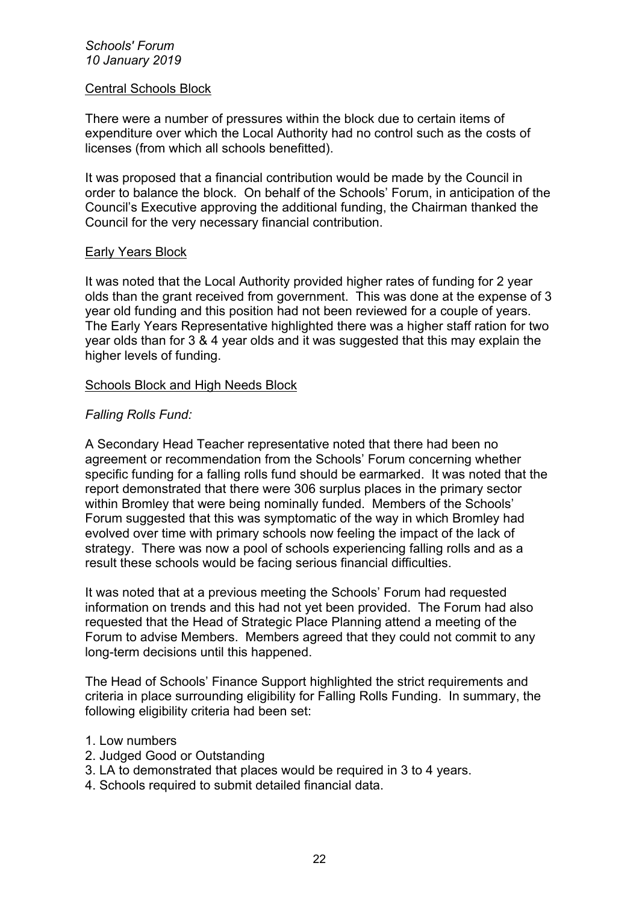#### *Schools' Forum 10 January 2019*

#### Central Schools Block

There were a number of pressures within the block due to certain items of expenditure over which the Local Authority had no control such as the costs of licenses (from which all schools benefitted).

It was proposed that a financial contribution would be made by the Council in order to balance the block. On behalf of the Schools' Forum, in anticipation of the Council's Executive approving the additional funding, the Chairman thanked the Council for the very necessary financial contribution.

#### Early Years Block

It was noted that the Local Authority provided higher rates of funding for 2 year olds than the grant received from government. This was done at the expense of 3 year old funding and this position had not been reviewed for a couple of years. The Early Years Representative highlighted there was a higher staff ration for two year olds than for 3 & 4 year olds and it was suggested that this may explain the higher levels of funding.

#### Schools Block and High Needs Block

#### *Falling Rolls Fund:*

A Secondary Head Teacher representative noted that there had been no agreement or recommendation from the Schools' Forum concerning whether specific funding for a falling rolls fund should be earmarked. It was noted that the report demonstrated that there were 306 surplus places in the primary sector within Bromley that were being nominally funded. Members of the Schools' Forum suggested that this was symptomatic of the way in which Bromley had evolved over time with primary schools now feeling the impact of the lack of strategy. There was now a pool of schools experiencing falling rolls and as a result these schools would be facing serious financial difficulties.

It was noted that at a previous meeting the Schools' Forum had requested information on trends and this had not yet been provided. The Forum had also requested that the Head of Strategic Place Planning attend a meeting of the Forum to advise Members. Members agreed that they could not commit to any long-term decisions until this happened.

The Head of Schools' Finance Support highlighted the strict requirements and criteria in place surrounding eligibility for Falling Rolls Funding. In summary, the following eligibility criteria had been set:

#### 1. Low numbers

- 2. Judged Good or Outstanding
- 3. LA to demonstrated that places would be required in 3 to 4 years.
- 4. Schools required to submit detailed financial data.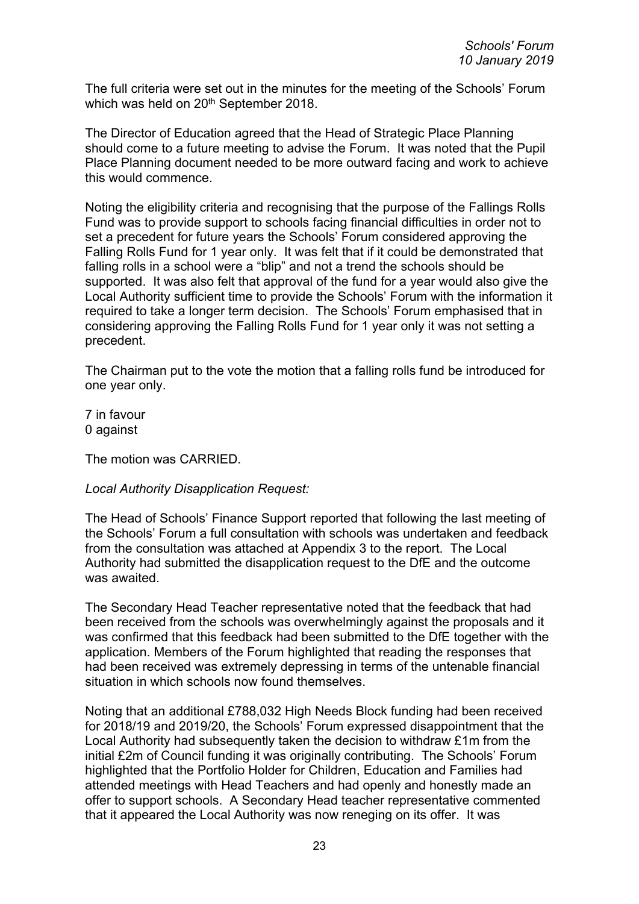The full criteria were set out in the minutes for the meeting of the Schools' Forum which was held on 20<sup>th</sup> September 2018.

The Director of Education agreed that the Head of Strategic Place Planning should come to a future meeting to advise the Forum. It was noted that the Pupil Place Planning document needed to be more outward facing and work to achieve this would commence.

Noting the eligibility criteria and recognising that the purpose of the Fallings Rolls Fund was to provide support to schools facing financial difficulties in order not to set a precedent for future years the Schools' Forum considered approving the Falling Rolls Fund for 1 year only. It was felt that if it could be demonstrated that falling rolls in a school were a "blip" and not a trend the schools should be supported. It was also felt that approval of the fund for a year would also give the Local Authority sufficient time to provide the Schools' Forum with the information it required to take a longer term decision. The Schools' Forum emphasised that in considering approving the Falling Rolls Fund for 1 year only it was not setting a precedent.

The Chairman put to the vote the motion that a falling rolls fund be introduced for one year only.

7 in favour 0 against

The motion was CARRIED.

# *Local Authority Disapplication Request:*

The Head of Schools' Finance Support reported that following the last meeting of the Schools' Forum a full consultation with schools was undertaken and feedback from the consultation was attached at Appendix 3 to the report. The Local Authority had submitted the disapplication request to the DfE and the outcome was awaited.

The Secondary Head Teacher representative noted that the feedback that had been received from the schools was overwhelmingly against the proposals and it was confirmed that this feedback had been submitted to the DfE together with the application. Members of the Forum highlighted that reading the responses that had been received was extremely depressing in terms of the untenable financial situation in which schools now found themselves.

Noting that an additional £788,032 High Needs Block funding had been received for 2018/19 and 2019/20, the Schools' Forum expressed disappointment that the Local Authority had subsequently taken the decision to withdraw £1m from the initial £2m of Council funding it was originally contributing. The Schools' Forum highlighted that the Portfolio Holder for Children, Education and Families had attended meetings with Head Teachers and had openly and honestly made an offer to support schools. A Secondary Head teacher representative commented that it appeared the Local Authority was now reneging on its offer. It was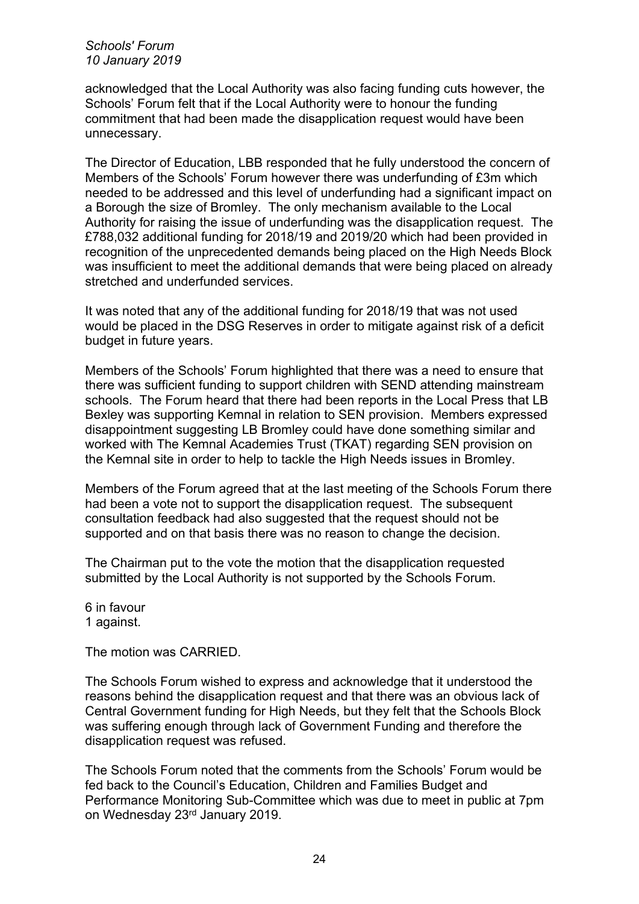*Schools' Forum 10 January 2019*

acknowledged that the Local Authority was also facing funding cuts however, the Schools' Forum felt that if the Local Authority were to honour the funding commitment that had been made the disapplication request would have been unnecessary.

The Director of Education, LBB responded that he fully understood the concern of Members of the Schools' Forum however there was underfunding of £3m which needed to be addressed and this level of underfunding had a significant impact on a Borough the size of Bromley. The only mechanism available to the Local Authority for raising the issue of underfunding was the disapplication request. The £788,032 additional funding for 2018/19 and 2019/20 which had been provided in recognition of the unprecedented demands being placed on the High Needs Block was insufficient to meet the additional demands that were being placed on already stretched and underfunded services.

It was noted that any of the additional funding for 2018/19 that was not used would be placed in the DSG Reserves in order to mitigate against risk of a deficit budget in future years.

Members of the Schools' Forum highlighted that there was a need to ensure that there was sufficient funding to support children with SEND attending mainstream schools. The Forum heard that there had been reports in the Local Press that LB Bexley was supporting Kemnal in relation to SEN provision. Members expressed disappointment suggesting LB Bromley could have done something similar and worked with The Kemnal Academies Trust (TKAT) regarding SEN provision on the Kemnal site in order to help to tackle the High Needs issues in Bromley.

Members of the Forum agreed that at the last meeting of the Schools Forum there had been a vote not to support the disapplication request. The subsequent consultation feedback had also suggested that the request should not be supported and on that basis there was no reason to change the decision.

The Chairman put to the vote the motion that the disapplication requested submitted by the Local Authority is not supported by the Schools Forum.

6 in favour 1 against.

The motion was CARRIED.

The Schools Forum wished to express and acknowledge that it understood the reasons behind the disapplication request and that there was an obvious lack of Central Government funding for High Needs, but they felt that the Schools Block was suffering enough through lack of Government Funding and therefore the disapplication request was refused.

The Schools Forum noted that the comments from the Schools' Forum would be fed back to the Council's Education, Children and Families Budget and Performance Monitoring Sub-Committee which was due to meet in public at 7pm on Wednesday 23rd January 2019.